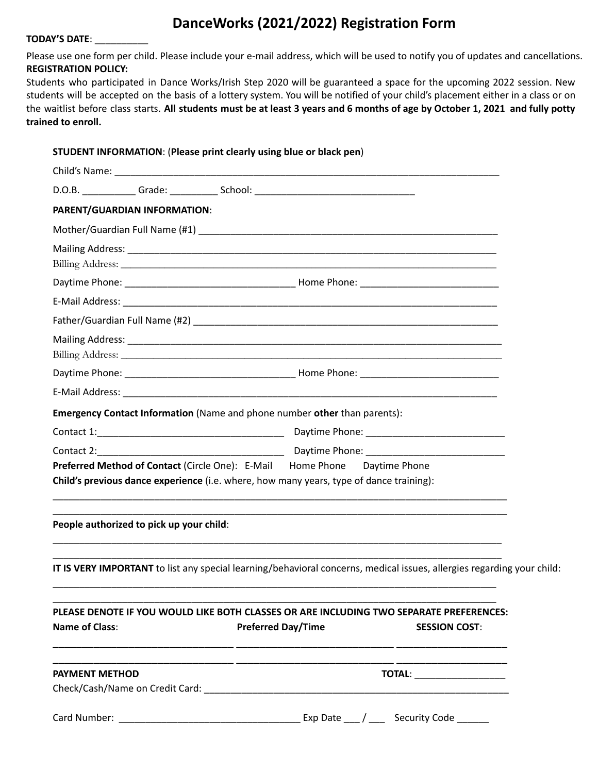# **DanceWorks (2021/2022) Registration Form**

#### **TODAY'S DATE**: \_\_\_\_\_\_\_\_\_\_

Please use one form per child. Please include your e-mail address, which will be used to notify you of updates and cancellations. **REGISTRATION POLICY:**

Students who participated in Dance Works/Irish Step 2020 will be guaranteed a space for the upcoming 2022 session. New students will be accepted on the basis of a lottery system. You will be notified of your child's placement either in a class or on the waitlist before class starts. All students must be at least 3 years and 6 months of age by October 1, 2021 and fully potty **trained to enroll.**

|                       |                                          | STUDENT INFORMATION: (Please print clearly using blue or black pen)                                                    |  |                      |
|-----------------------|------------------------------------------|------------------------------------------------------------------------------------------------------------------------|--|----------------------|
|                       |                                          |                                                                                                                        |  |                      |
|                       |                                          |                                                                                                                        |  |                      |
|                       | PARENT/GUARDIAN INFORMATION:             |                                                                                                                        |  |                      |
|                       |                                          |                                                                                                                        |  |                      |
|                       |                                          |                                                                                                                        |  |                      |
|                       |                                          |                                                                                                                        |  |                      |
|                       |                                          |                                                                                                                        |  |                      |
|                       |                                          |                                                                                                                        |  |                      |
|                       |                                          |                                                                                                                        |  |                      |
|                       |                                          |                                                                                                                        |  |                      |
|                       |                                          |                                                                                                                        |  |                      |
|                       |                                          |                                                                                                                        |  |                      |
|                       |                                          |                                                                                                                        |  |                      |
|                       |                                          | Emergency Contact Information (Name and phone number other than parents):                                              |  |                      |
|                       |                                          |                                                                                                                        |  |                      |
|                       |                                          |                                                                                                                        |  |                      |
|                       |                                          |                                                                                                                        |  |                      |
|                       |                                          | Preferred Method of Contact (Circle One): E-Mail Home Phone Daytime Phone                                              |  |                      |
|                       |                                          | Child's previous dance experience (i.e. where, how many years, type of dance training):                                |  |                      |
|                       |                                          |                                                                                                                        |  |                      |
|                       | People authorized to pick up your child: |                                                                                                                        |  |                      |
|                       |                                          |                                                                                                                        |  |                      |
|                       |                                          |                                                                                                                        |  |                      |
|                       |                                          | IT IS VERY IMPORTANT to list any special learning/behavioral concerns, medical issues, allergies regarding your child: |  |                      |
|                       |                                          |                                                                                                                        |  |                      |
|                       |                                          | PLEASE DENOTE IF YOU WOULD LIKE BOTH CLASSES OR ARE INCLUDING TWO SEPARATE PREFERENCES:                                |  |                      |
| <b>Name of Class:</b> |                                          | <b>Preferred Day/Time</b>                                                                                              |  | <b>SESSION COST:</b> |
|                       |                                          |                                                                                                                        |  |                      |
| <b>PAYMENT METHOD</b> |                                          |                                                                                                                        |  |                      |
|                       |                                          |                                                                                                                        |  | <b>TOTAL:</b>        |
|                       |                                          |                                                                                                                        |  |                      |